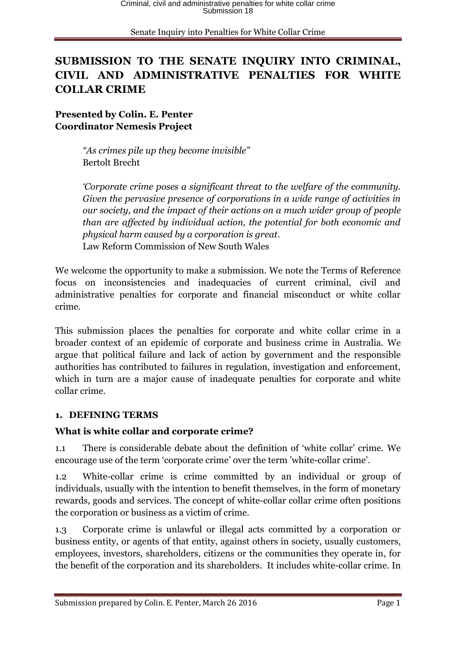# **SUBMISSION TO THE SENATE INQUIRY INTO CRIMINAL, CIVIL AND ADMINISTRATIVE PENALTIES FOR WHITE COLLAR CRIME**

**Presented by Colin. E. Penter Coordinator Nemesis Project**

> *"As crimes pile up they become invisible"* Bertolt Brecht

*'Corporate crime poses a significant threat to the welfare of the community. Given the pervasive presence of corporations in a wide range of activities in our society, and the impact of their actions on a much wider group of people than are affected by individual action, the potential for both economic and physical harm caused by a corporation is great.* Law Reform Commission of New South Wales

We welcome the opportunity to make a submission. We note the Terms of Reference focus on inconsistencies and inadequacies of current criminal, civil and administrative penalties for corporate and financial misconduct or white collar crime.

This submission places the penalties for corporate and white collar crime in a broader context of an epidemic of corporate and business crime in Australia. We argue that political failure and lack of action by government and the responsible authorities has contributed to failures in regulation, investigation and enforcement, which in turn are a major cause of inadequate penalties for corporate and white collar crime.

### **1. DEFINING TERMS**

### **What is white collar and corporate crime?**

1.1 There is considerable debate about the definition of 'white collar' crime. We encourage use of the term 'corporate crime' over the term 'white-collar crime'.

1.2 White-collar crime is crime committed by an individual or group of individuals, usually with the intention to benefit themselves, in the form of monetary rewards, goods and services. The concept of white-collar collar crime often positions the corporation or business as a victim of crime.

1.3 Corporate crime is unlawful or illegal acts committed by a corporation or business entity, or agents of that entity, against others in society, usually customers, employees, investors, shareholders, citizens or the communities they operate in, for the benefit of the corporation and its shareholders. It includes white-collar crime. In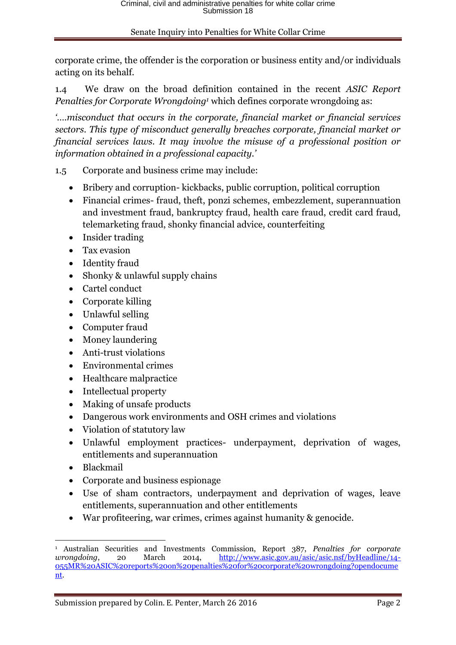corporate crime, the offender is the corporation or business entity and/or individuals acting on its behalf.

1.4 We draw on the broad definition contained in the recent *ASIC Report Penalties for Corporate Wrongdoing<sup>1</sup>* which defines corporate wrongdoing as:

*'….misconduct that occurs in the corporate, financial market or financial services sectors. This type of misconduct generally breaches corporate, financial market or financial services laws. It may involve the misuse of a professional position or information obtained in a professional capacity.'*

- 1.5 Corporate and business crime may include:
	- Bribery and corruption- kickbacks, public corruption, political corruption
	- Financial crimes- fraud, theft, ponzi schemes, embezzlement, superannuation and investment fraud, bankruptcy fraud, health care fraud, credit card fraud, telemarketing fraud, shonky financial advice, counterfeiting
	- Insider trading
	- Tax evasion
	- Identity fraud
	- Shonky & unlawful supply chains
	- Cartel conduct
	- Corporate killing
	- Unlawful selling
	- Computer fraud
	- Money laundering
	- Anti-trust violations
	- Environmental crimes
	- Healthcare malpractice
	- Intellectual property
	- Making of unsafe products
	- Dangerous work environments and OSH crimes and violations
	- Violation of statutory law
	- Unlawful employment practices- underpayment, deprivation of wages, entitlements and superannuation
	- Blackmail
	- Corporate and business espionage
	- Use of sham contractors, underpayment and deprivation of wages, leave entitlements, superannuation and other entitlements
	- War profiteering, war crimes, crimes against humanity & genocide.

<sup>1</sup> <sup>1</sup> Australian Securities and Investments Commission, Report 387, *Penalties for corporate wrongdoing*, 20 March 2014, [http://www.asic.gov.au/asic/asic.nsf/byHeadline/14-](http://www.asic.gov.au/asic/asic.nsf/byHeadline/14-055MR%20ASIC%20reports%20on%20penalties%20for%20corporate%20wrongdoing?opendocument) [055MR%20ASIC%20reports%20on%20penalties%20for%20corporate%20wrongdoing?opendocume](http://www.asic.gov.au/asic/asic.nsf/byHeadline/14-055MR%20ASIC%20reports%20on%20penalties%20for%20corporate%20wrongdoing?opendocument) [nt.](http://www.asic.gov.au/asic/asic.nsf/byHeadline/14-055MR%20ASIC%20reports%20on%20penalties%20for%20corporate%20wrongdoing?opendocument)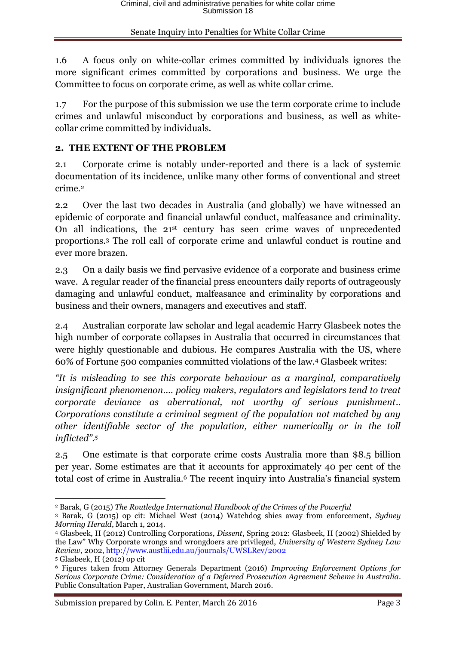1.6 A focus only on white-collar crimes committed by individuals ignores the more significant crimes committed by corporations and business. We urge the Committee to focus on corporate crime, as well as white collar crime.

1.7 For the purpose of this submission we use the term corporate crime to include crimes and unlawful misconduct by corporations and business, as well as whitecollar crime committed by individuals.

### **2. THE EXTENT OF THE PROBLEM**

2.1 Corporate crime is notably under-reported and there is a lack of systemic documentation of its incidence, unlike many other forms of conventional and street crime.<sup>2</sup>

2.2 Over the last two decades in Australia (and globally) we have witnessed an epidemic of corporate and financial unlawful conduct, malfeasance and criminality. On all indications, the 21st century has seen crime waves of unprecedented proportions.<sup>3</sup> The roll call of corporate crime and unlawful conduct is routine and ever more brazen.

2.3 On a daily basis we find pervasive evidence of a corporate and business crime wave. A regular reader of the financial press encounters daily reports of outrageously damaging and unlawful conduct, malfeasance and criminality by corporations and business and their owners, managers and executives and staff.

2.4 Australian corporate law scholar and legal academic Harry Glasbeek notes the high number of corporate collapses in Australia that occurred in circumstances that were highly questionable and dubious. He compares Australia with the US, where 60% of Fortune 500 companies committed violations of the law.<sup>4</sup> Glasbeek writes:

*"It is misleading to see this corporate behaviour as a marginal, comparatively insignificant phenomenon…. policy makers, regulators and legislators tend to treat corporate deviance as aberrational, not worthy of serious punishment.. Corporations constitute a criminal segment of the population not matched by any other identifiable sector of the population, either numerically or in the toll inflicted". 5*

2.5 One estimate is that corporate crime costs Australia more than \$8.5 billion per year. Some estimates are that it accounts for approximately 40 per cent of the total cost of crime in Australia.<sup>6</sup> The recent inquiry into Australia's financial system

<sup>1</sup> <sup>2</sup> Barak, G (2015) *The Routledge International Handbook of the Crimes of the Powerful*

<sup>3</sup> Barak, G (2015) op cit: Michael West (2014) Watchdog shies away from enforcement, *Sydney Morning Herald*, March 1, 2014.

<sup>4</sup> Glasbeek, H (2012) Controlling Corporations, *Dissent*, Spring 2012: Glasbeek, H (2002) Shielded by the Law" Why Corporate wrongs and wrongdoers are privileged, *University of Western Sydney Law Review,* 2002[, http://www.austlii.edu.au/journals/UWSLRev/2002](http://www.austlii.edu.au/journals/UWSLRev/2002)

<sup>5</sup> Glasbeek, H (2012) op cit

<sup>6</sup> Figures taken from Attorney Generals Department (2016) *Improving Enforcement Options for Serious Corporate Crime: Consideration of a Deferred Prosecution Agreement Scheme in Australia*. Public Consultation Paper, Australian Government, March 2016.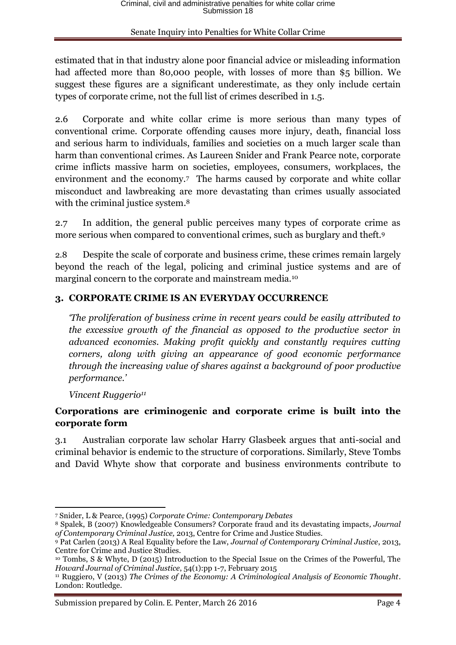estimated that in that industry alone poor financial advice or misleading information had affected more than 80,000 people, with losses of more than \$5 billion. We suggest these figures are a significant underestimate, as they only include certain types of corporate crime, not the full list of crimes described in 1.5.

2.6 Corporate and white collar crime is more serious than many types of conventional crime. Corporate offending causes more injury, death, financial loss and serious harm to individuals, families and societies on a much larger scale than harm than conventional crimes. As Laureen Snider and Frank Pearce note, corporate crime inflicts massive harm on societies, employees, consumers, workplaces, the environment and the economy.<sup>7</sup> The harms caused by corporate and white collar misconduct and lawbreaking are more devastating than crimes usually associated with the criminal justice system.<sup>8</sup>

2.7 In addition, the general public perceives many types of corporate crime as more serious when compared to conventional crimes, such as burglary and theft.<sup>9</sup>

2.8 Despite the scale of corporate and business crime, these crimes remain largely beyond the reach of the legal, policing and criminal justice systems and are of marginal concern to the corporate and mainstream media.<sup>10</sup>

### **3. CORPORATE CRIME IS AN EVERYDAY OCCURRENCE**

*'The proliferation of business crime in recent years could be easily attributed to the excessive growth of the financial as opposed to the productive sector in advanced economies. Making profit quickly and constantly requires cutting corners, along with giving an appearance of good economic performance through the increasing value of shares against a background of poor productive performance.'*

*Vincent Ruggerio<sup>11</sup>*

**.** 

## **Corporations are criminogenic and corporate crime is built into the corporate form**

3.1 Australian corporate law scholar Harry Glasbeek argues that anti-social and criminal behavior is endemic to the structure of corporations. Similarly, Steve Tombs and David Whyte show that corporate and business environments contribute to

<sup>7</sup> Snider, L & Pearce, (1995) *Corporate Crime: Contemporary Debates*

<sup>8</sup> Spalek, B (2007) Knowledgeable Consumers? Corporate fraud and its devastating impacts*, Journal of Contemporary Criminal Justice,* 2013, Centre for Crime and Justice Studies.

<sup>9</sup> Pat Carlen (2013) A Real Equality before the Law, *Journal of Contemporary Criminal Justice*, 2013, Centre for Crime and Justice Studies.

<sup>10</sup> Tombs, S & Whyte, D (2015) Introduction to the Special Issue on the Crimes of the Powerful, The *Howard Journal of Criminal Justice*, 54(1):pp 1-7, February 2015

<sup>11</sup> Ruggiero, V (2013) *The Crimes of the Economy: A Criminological Analysis of Economic Thought*. London: Routledge.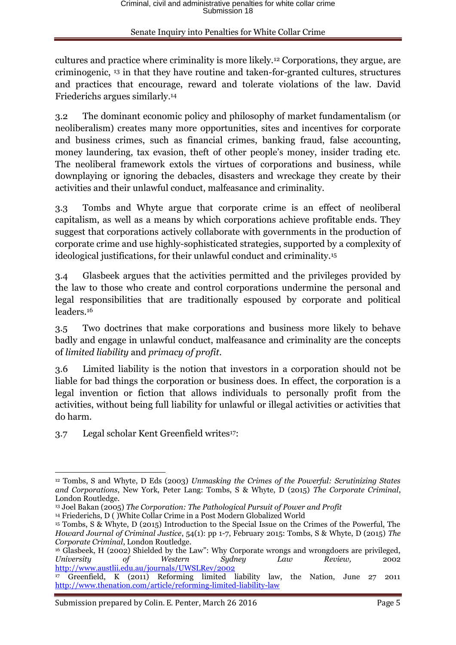cultures and practice where criminality is more likely.<sup>12</sup> Corporations, they argue, are criminogenic, <sup>13</sup> in that they have routine and taken-for-granted cultures, structures and practices that encourage, reward and tolerate violations of the law. David Friederichs argues similarly.<sup>14</sup>

3.2 The dominant economic policy and philosophy of market fundamentalism (or neoliberalism) creates many more opportunities, sites and incentives for corporate and business crimes, such as financial crimes, banking fraud, false accounting, money laundering, tax evasion, theft of other people's money, insider trading etc. The neoliberal framework extols the virtues of corporations and business, while downplaying or ignoring the debacles, disasters and wreckage they create by their activities and their unlawful conduct, malfeasance and criminality.

3.3 Tombs and Whyte argue that corporate crime is an effect of neoliberal capitalism, as well as a means by which corporations achieve profitable ends. They suggest that corporations actively collaborate with governments in the production of corporate crime and use highly-sophisticated strategies, supported by a complexity of ideological justifications, for their unlawful conduct and criminality.<sup>15</sup>

3.4 Glasbeek argues that the activities permitted and the privileges provided by the law to those who create and control corporations undermine the personal and legal responsibilities that are traditionally espoused by corporate and political leaders.<sup>16</sup>

3.5 Two doctrines that make corporations and business more likely to behave badly and engage in unlawful conduct, malfeasance and criminality are the concepts of *limited liability* and *primacy of profit*.

3.6 Limited liability is the notion that investors in a corporation should not be liable for bad things the corporation or business does. In effect, the corporation is a legal invention or fiction that allows individuals to personally profit from the activities, without being full liability for unlawful or illegal activities or activities that do harm.

3.7 Legal scholar Kent Greenfield writes<sup>17</sup>:

<sup>1</sup> <sup>12</sup> Tombs, S and Whyte, D Eds (2003) *Unmasking the Crimes of the Powerful: Scrutinizing States and Corporations*, New York, Peter Lang: Tombs, S & Whyte, D (2015) *The Corporate Criminal*, London Routledge.

<sup>13</sup> Joel Bakan (2005) *The Corporation: The Pathological Pursuit of Power and Profit*

<sup>14</sup> Friederichs, D ( )White Collar Crime in a Post Modern Globalized World

<sup>15</sup> Tombs, S & Whyte, D (2015) Introduction to the Special Issue on the Crimes of the Powerful, The *Howard Journal of Criminal Justice*, 54(1): pp 1-7, February 2015: Tombs, S & Whyte, D (2015) *The Corporate Criminal*, London Routledge.

<sup>16</sup> Glasbeek, H (2002) Shielded by the Law": Why Corporate wrongs and wrongdoers are privileged, *University of Western Sydney Law Review,* 2002 <http://www.austlii.edu.au/journals/UWSLRev/2002>

<sup>&</sup>lt;sup>17</sup> Greenfield, K (2011) Reforming limited liability law, the Nation, June 27 2011 <http://www.thenation.com/article/reforming-limited-liability-law>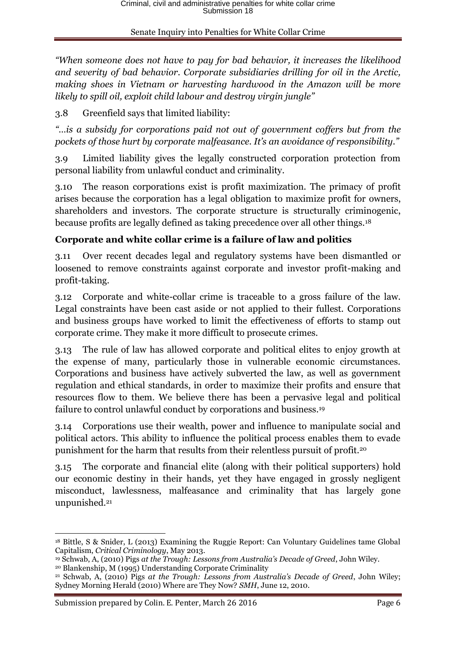*"When someone does not have to pay for bad behavior, it increases the likelihood and severity of bad behavior. Corporate subsidiaries drilling for oil in the Arctic, making shoes in Vietnam or harvesting hardwood in the Amazon will be more likely to spill oil, exploit child labour and destroy virgin jungle"*

3.8 Greenfield says that limited liability:

*"…is a subsidy for corporations paid not out of government coffers but from the pockets of those hurt by corporate malfeasance. It's an avoidance of responsibility."*

3.9 Limited liability gives the legally constructed corporation protection from personal liability from unlawful conduct and criminality.

3.10 The reason corporations exist is profit maximization. The primacy of profit arises because the corporation has a legal obligation to maximize profit for owners, shareholders and investors. The corporate structure is structurally criminogenic, because profits are legally defined as taking precedence over all other things.<sup>18</sup>

## **Corporate and white collar crime is a failure of law and politics**

3.11 Over recent decades legal and regulatory systems have been dismantled or loosened to remove constraints against corporate and investor profit-making and profit-taking.

3.12 Corporate and white-collar crime is traceable to a gross failure of the law. Legal constraints have been cast aside or not applied to their fullest. Corporations and business groups have worked to limit the effectiveness of efforts to stamp out corporate crime. They make it more difficult to prosecute crimes.

3.13 The rule of law has allowed corporate and political elites to enjoy growth at the expense of many, particularly those in vulnerable economic circumstances. Corporations and business have actively subverted the law, as well as government regulation and ethical standards, in order to maximize their profits and ensure that resources flow to them. We believe there has been a pervasive legal and political failure to control unlawful conduct by corporations and business. 19

3.14 Corporations use their wealth, power and influence to manipulate social and political actors. This ability to influence the political process enables them to evade punishment for the harm that results from their relentless pursuit of profit.<sup>20</sup>

3.15 The corporate and financial elite (along with their political supporters) hold our economic destiny in their hands, yet they have engaged in grossly negligent misconduct, lawlessness, malfeasance and criminality that has largely gone unpunished. 21

 $\overline{a}$ <sup>18</sup> Bittle, S & Snider, L (2013) Examining the Ruggie Report: Can Voluntary Guidelines tame Global Capitalism, *Critical Criminology*, May 2013.

<sup>19</sup> Schwab, A, (2010) Pigs *at the Trough: Lessons from Australia's Decade of Greed*, John Wiley.

<sup>20</sup> Blankenship, M (1995) Understanding Corporate Criminality

<sup>21</sup> Schwab, A, (2010) Pigs *at the Trough: Lessons from Australia's Decade of Greed*, John Wiley; Sydney Morning Herald (2010) Where are They Now? *SMH*, June 12, 2010.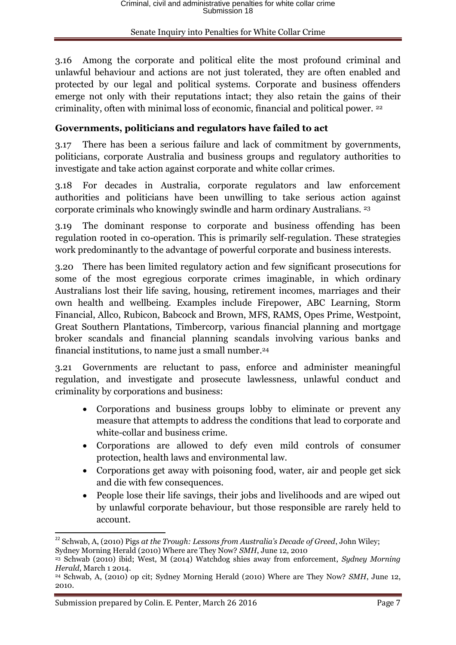3.16 Among the corporate and political elite the most profound criminal and unlawful behaviour and actions are not just tolerated, they are often enabled and protected by our legal and political systems. Corporate and business offenders emerge not only with their reputations intact; they also retain the gains of their criminality, often with minimal loss of economic, financial and political power. <sup>22</sup>

## **Governments, politicians and regulators have failed to act**

3.17 There has been a serious failure and lack of commitment by governments, politicians, corporate Australia and business groups and regulatory authorities to investigate and take action against corporate and white collar crimes.

3.18 For decades in Australia, corporate regulators and law enforcement authorities and politicians have been unwilling to take serious action against corporate criminals who knowingly swindle and harm ordinary Australians. <sup>23</sup>

3.19 The dominant response to corporate and business offending has been regulation rooted in co-operation. This is primarily self-regulation. These strategies work predominantly to the advantage of powerful corporate and business interests.

3.20 There has been limited regulatory action and few significant prosecutions for some of the most egregious corporate crimes imaginable, in which ordinary Australians lost their life saving, housing, retirement incomes, marriages and their own health and wellbeing. Examples include Firepower, ABC Learning, Storm Financial, Allco, Rubicon, Babcock and Brown, MFS, RAMS, Opes Prime, Westpoint, Great Southern Plantations, Timbercorp, various financial planning and mortgage broker scandals and financial planning scandals involving various banks and financial institutions, to name just a small number. 24

3.21 Governments are reluctant to pass, enforce and administer meaningful regulation, and investigate and prosecute lawlessness, unlawful conduct and criminality by corporations and business:

- Corporations and business groups lobby to eliminate or prevent any measure that attempts to address the conditions that lead to corporate and white-collar and business crime.
- Corporations are allowed to defy even mild controls of consumer protection, health laws and environmental law.
- Corporations get away with poisoning food, water, air and people get sick and die with few consequences.
- People lose their life savings, their jobs and livelihoods and are wiped out by unlawful corporate behaviour, but those responsible are rarely held to account.

<sup>1</sup> <sup>22</sup> Schwab, A, (2010) Pigs *at the Trough: Lessons from Australia's Decade of Greed*, John Wiley; Sydney Morning Herald (2010) Where are They Now? *SMH*, June 12, 2010

<sup>23</sup> Schwab (2010) ibid; West, M (2014) Watchdog shies away from enforcement, *Sydney Morning Herald*, March 1 2014.

<sup>24</sup> Schwab, A, (2010) op cit; Sydney Morning Herald (2010) Where are They Now? *SMH*, June 12, 2010.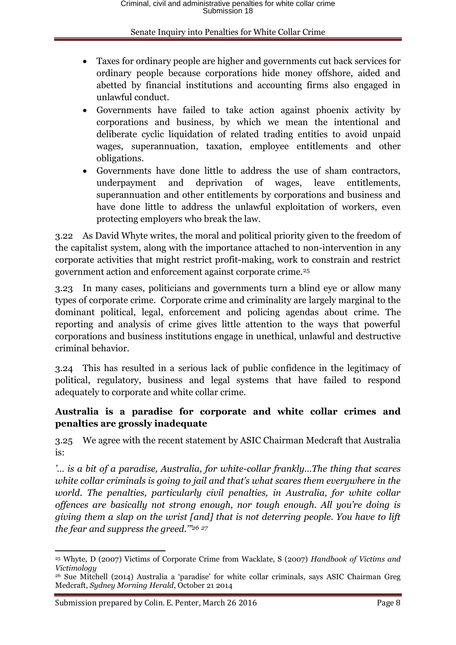- Taxes for ordinary people are higher and governments cut back services for ordinary people because corporations hide money offshore, aided and abetted by financial institutions and accounting firms also engaged in unlawful conduct.
- Governments have failed to take action against phoenix activity by corporations and business, by which we mean the intentional and deliberate cyclic liquidation of related trading entities to avoid unpaid wages, superannuation, taxation, employee entitlements and other obligations.
- Governments have done little to address the use of sham contractors, underpayment and deprivation of wages, leave entitlements, superannuation and other entitlements by corporations and business and have done little to address the unlawful exploitation of workers, even protecting employers who break the law.

3.22 As David Whyte writes, the moral and political priority given to the freedom of the capitalist system, along with the importance attached to non-intervention in any corporate activities that might restrict profit-making, work to constrain and restrict government action and enforcement against corporate crime.<sup>25</sup>

3.23 In many cases, politicians and governments turn a blind eye or allow many types of corporate crime. Corporate crime and criminality are largely marginal to the dominant political, legal, enforcement and policing agendas about crime. The reporting and analysis of crime gives little attention to the ways that powerful corporations and business institutions engage in unethical, unlawful and destructive criminal behavior.

3.24 This has resulted in a serious lack of public confidence in the legitimacy of political, regulatory, business and legal systems that have failed to respond adequately to corporate and white collar crime.

## **Australia is a paradise for corporate and white collar crimes and penalties are grossly inadequate**

3.25 We agree with the recent statement by ASIC Chairman Medcraft that Australia is:

*'… is a bit of a paradise, Australia, for white-collar frankly…The thing that scares white collar criminals is going to jail and that's what scares them everywhere in the world. The penalties, particularly civil penalties, in Australia, for white collar offences are basically not strong enough, nor tough enough. All you're doing is giving them a slap on the wrist [and] that is not deterring people. You have to lift the fear and suppress the greed.'" 26 27*

**<sup>.</sup>** <sup>25</sup> Whyte, D (2007) Victims of Corporate Crime from Wacklate, S (2007) *Handbook of Victims and Victimology*

<sup>26</sup> Sue Mitchell (2014) Australia a 'paradise' for white collar criminals, says ASIC Chairman Greg Medcraft, *Sydney Morning Herald*, October 21 2014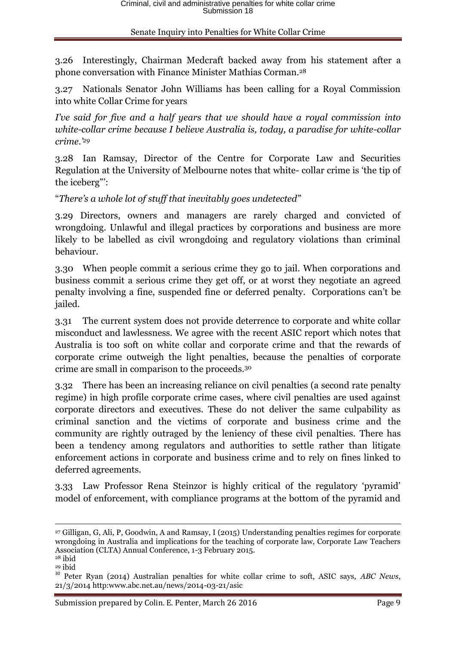3.26 Interestingly, Chairman Medcraft backed away from his statement after a phone conversation with Finance Minister Mathias Corman.<sup>28</sup>

3.27 Nationals Senator John Williams has been calling for a Royal Commission into white Collar Crime for years

*I've said for five and a half years that we should have a royal commission into white-collar crime because I believe Australia is, today, a paradise for white-collar crime.'<sup>29</sup>*

3.28 Ian Ramsay, Director of the Centre for Corporate Law and Securities Regulation at the University of Melbourne notes that white- collar crime is 'the tip of the iceberg"':

"*There's a whole lot of stuff that inevitably goes undetected"*

3.29 Directors, owners and managers are rarely charged and convicted of wrongdoing. Unlawful and illegal practices by corporations and business are more likely to be labelled as civil wrongdoing and regulatory violations than criminal behaviour.

3.30 When people commit a serious crime they go to jail. When corporations and business commit a serious crime they get off, or at worst they negotiate an agreed penalty involving a fine, suspended fine or deferred penalty. Corporations can't be jailed.

3.31 The current system does not provide deterrence to corporate and white collar misconduct and lawlessness. We agree with the recent ASIC report which notes that Australia is too soft on white collar and corporate crime and that the rewards of corporate crime outweigh the light penalties, because the penalties of corporate crime are small in comparison to the proceeds.<sup>30</sup>

3.32 There has been an increasing reliance on civil penalties (a second rate penalty regime) in high profile corporate crime cases, where civil penalties are used against corporate directors and executives. These do not deliver the same culpability as criminal sanction and the victims of corporate and business crime and the community are rightly outraged by the leniency of these civil penalties. There has been a tendency among regulators and authorities to settle rather than litigate enforcement actions in corporate and business crime and to rely on fines linked to deferred agreements.

3.33 Law Professor Rena Steinzor is highly critical of the regulatory 'pyramid' model of enforcement, with compliance programs at the bottom of the pyramid and

**.** 

<sup>27</sup> Gilligan, G, Ali, P, Goodwin, A and Ramsay, I (2015) Understanding penalties regimes for corporate wrongdoing in Australia and implications for the teaching of corporate law, Corporate Law Teachers Association (CLTA) Annual Conference, 1-3 February 2015.

<sup>28</sup> ibid

<sup>29</sup> ibid

<sup>30</sup> Peter Ryan (2014) Australian penalties for white collar crime to soft, ASIC says, *ABC News*, 21/3/2014 http:www.abc.net.au/news/2014-03-21/asic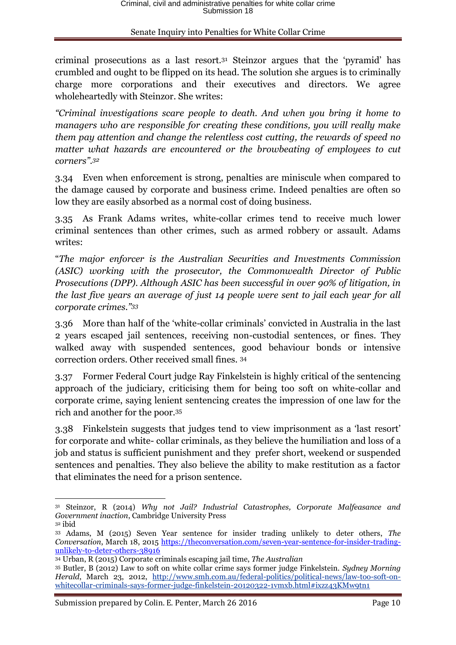criminal prosecutions as a last resort.<sup>31</sup> Steinzor argues that the 'pyramid' has crumbled and ought to be flipped on its head. The solution she argues is to criminally charge more corporations and their executives and directors. We agree wholeheartedly with Steinzor. She writes:

*"Criminal investigations scare people to death. And when you bring it home to managers who are responsible for creating these conditions, you will really make them pay attention and change the relentless cost cutting, the rewards of speed no matter what hazards are encountered or the browbeating of employees to cut corners". 32*

3.34 Even when enforcement is strong, penalties are miniscule when compared to the damage caused by corporate and business crime. Indeed penalties are often so low they are easily absorbed as a normal cost of doing business.

3.35 As Frank Adams writes, white-collar crimes tend to receive much lower criminal sentences than other crimes, such as armed robbery or assault. Adams writes:

"*The major enforcer is the Australian Securities and Investments Commission (ASIC) working with the prosecutor, the Commonwealth Director of Public Prosecutions (DPP). Although ASIC has been successful in over 90% of litigation, in the last five years an average of just 14 people were sent to jail each year for all corporate crimes."<sup>33</sup>*

3.36 More than half of the 'white-collar criminals' convicted in Australia in the last 2 years escaped jail sentences, receiving non-custodial sentences, or fines. They walked away with suspended sentences, good behaviour bonds or intensive correction orders. Other received small fines. <sup>34</sup>

3.37 Former Federal Court judge Ray Finkelstein is highly critical of the sentencing approach of the judiciary, criticising them for being too soft on white-collar and corporate crime, saying lenient sentencing creates the impression of one law for the rich and another for the poor.<sup>35</sup>

3.38 Finkelstein suggests that judges tend to view imprisonment as a 'last resort' for corporate and white- collar criminals, as they believe the humiliation and loss of a job and status is sufficient punishment and they prefer short, weekend or suspended sentences and penalties. They also believe the ability to make restitution as a factor that eliminates the need for a prison sentence.

Submission prepared by Colin. E. Penter, March 26 2016 Page 10

1

<sup>31</sup> Steinzor, R (2014) *Why not Jail? Industrial Catastrophes, Corporate Malfeasance and Government inaction*, Cambridge University Press <sup>32</sup> ibid

<sup>33</sup> Adams, M (2015) Seven Year sentence for insider trading unlikely to deter others, *The Conversation*, March 18, 2015 [https://theconversation.com/seven-year-sentence-for-insider-trading](https://theconversation.com/seven-year-sentence-for-insider-trading-unlikely-to-deter-others-38916)[unlikely-to-deter-others-38916](https://theconversation.com/seven-year-sentence-for-insider-trading-unlikely-to-deter-others-38916)

<sup>34</sup> Urban, R (2015) Corporate criminals escaping jail time, *The Australian*

<sup>35</sup> Butler, B (2012) Law to soft on white collar crime says former judge Finkelstein. *Sydney Morning Herald*, March 23, 2012, [http://www.smh.com.au/federal-politics/political-news/law-too-soft-on](http://www.smh.com.au/federal-politics/political-news/law-too-soft-on-whitecollar-criminals-says-former-judge-finkelstein-20120322-1vmxb.html#ixzz43KMw9tn1)[whitecollar-criminals-says-former-judge-finkelstein-20120322-1vmxb.html#ixzz43KMw9tn1](http://www.smh.com.au/federal-politics/political-news/law-too-soft-on-whitecollar-criminals-says-former-judge-finkelstein-20120322-1vmxb.html#ixzz43KMw9tn1)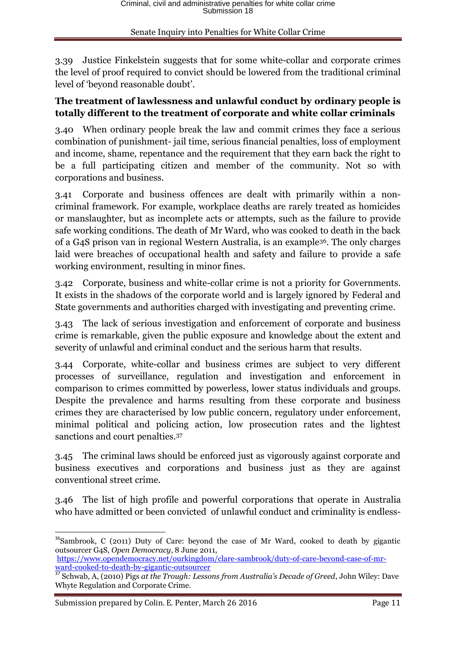3.39 Justice Finkelstein suggests that for some white-collar and corporate crimes the level of proof required to convict should be lowered from the traditional criminal level of 'beyond reasonable doubt'.

### **The treatment of lawlessness and unlawful conduct by ordinary people is totally different to the treatment of corporate and white collar criminals**

3.40 When ordinary people break the law and commit crimes they face a serious combination of punishment- jail time, serious financial penalties, loss of employment and income, shame, repentance and the requirement that they earn back the right to be a full participating citizen and member of the community. Not so with corporations and business.

3.41 Corporate and business offences are dealt with primarily within a noncriminal framework. For example, workplace deaths are rarely treated as homicides or manslaughter, but as incomplete acts or attempts, such as the failure to provide safe working conditions. The death of Mr Ward, who was cooked to death in the back of a G4S prison van in regional Western Australia, is an example36. The only charges laid were breaches of occupational health and safety and failure to provide a safe working environment, resulting in minor fines.

3.42 Corporate, business and white-collar crime is not a priority for Governments. It exists in the shadows of the corporate world and is largely ignored by Federal and State governments and authorities charged with investigating and preventing crime.

3.43 The lack of serious investigation and enforcement of corporate and business crime is remarkable, given the public exposure and knowledge about the extent and severity of unlawful and criminal conduct and the serious harm that results.

3.44 Corporate, white-collar and business crimes are subject to very different processes of surveillance, regulation and investigation and enforcement in comparison to crimes committed by powerless, lower status individuals and groups. Despite the prevalence and harms resulting from these corporate and business crimes they are characterised by low public concern, regulatory under enforcement, minimal political and policing action, low prosecution rates and the lightest sanctions and court penalties. 37

3.45 The criminal laws should be enforced just as vigorously against corporate and business executives and corporations and business just as they are against conventional street crime.

3.46 The list of high profile and powerful corporations that operate in Australia who have admitted or been convicted of unlawful conduct and criminality is endless-

**.** 

<sup>&</sup>lt;sup>36</sup>Sambrook, C (2011) Duty of Care: beyond the case of Mr Ward, cooked to death by gigantic outsourcer G4S, *Open Democracy*, 8 June 2011, [https://www.opendemocracy.net/ourkingdom/clare-sambrook/duty-of-care-beyond-case-of-mr-](https://www.opendemocracy.net/ourkingdom/clare-sambrook/duty-of-care-beyond-case-of-mr-ward-cooked-to-death-by-gigantic-outsourcer)

[ward-cooked-to-death-by-gigantic-outsourcer](https://www.opendemocracy.net/ourkingdom/clare-sambrook/duty-of-care-beyond-case-of-mr-ward-cooked-to-death-by-gigantic-outsourcer)

<sup>37</sup> Schwab, A, (2010) Pigs *at the Trough: Lessons from Australia's Decade of Greed*, John Wiley: Dave Whyte Regulation and Corporate Crime.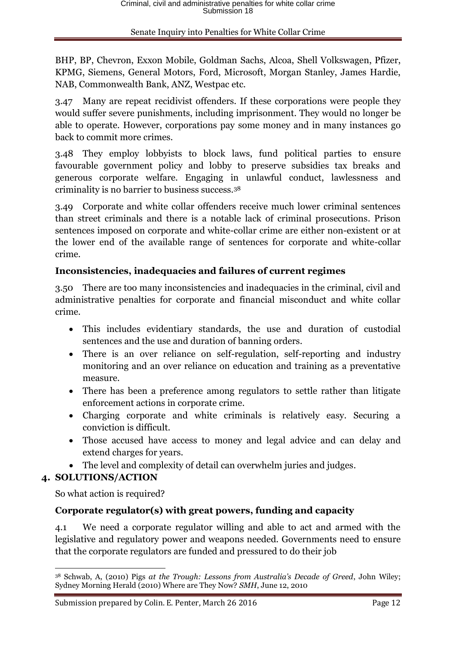BHP, BP, Chevron, Exxon Mobile, Goldman Sachs, Alcoa, Shell Volkswagen, Pfizer, KPMG, Siemens, General Motors, Ford, Microsoft, Morgan Stanley, James Hardie, NAB, Commonwealth Bank, ANZ, Westpac etc.

3.47 Many are repeat recidivist offenders. If these corporations were people they would suffer severe punishments, including imprisonment. They would no longer be able to operate. However, corporations pay some money and in many instances go back to commit more crimes.

3.48 They employ lobbyists to block laws, fund political parties to ensure favourable government policy and lobby to preserve subsidies tax breaks and generous corporate welfare. Engaging in unlawful conduct, lawlessness and criminality is no barrier to business success.<sup>38</sup>

3.49 Corporate and white collar offenders receive much lower criminal sentences than street criminals and there is a notable lack of criminal prosecutions. Prison sentences imposed on corporate and white-collar crime are either non-existent or at the lower end of the available range of sentences for corporate and white-collar crime.

## **Inconsistencies, inadequacies and failures of current regimes**

3.50 There are too many inconsistencies and inadequacies in the criminal, civil and administrative penalties for corporate and financial misconduct and white collar crime.

- This includes evidentiary standards, the use and duration of custodial sentences and the use and duration of banning orders.
- There is an over reliance on self-regulation, self-reporting and industry monitoring and an over reliance on education and training as a preventative measure.
- There has been a preference among regulators to settle rather than litigate enforcement actions in corporate crime.
- Charging corporate and white criminals is relatively easy. Securing a conviction is difficult.
- Those accused have access to money and legal advice and can delay and extend charges for years.
- The level and complexity of detail can overwhelm juries and judges.

## **4. SOLUTIONS/ACTION**

So what action is required?

## **Corporate regulator(s) with great powers, funding and capacity**

4.1 We need a corporate regulator willing and able to act and armed with the legislative and regulatory power and weapons needed. Governments need to ensure that the corporate regulators are funded and pressured to do their job

**<sup>.</sup>** <sup>38</sup> Schwab, A, (2010) Pigs *at the Trough: Lessons from Australia's Decade of Greed*, John Wiley; Sydney Morning Herald (2010) Where are They Now? *SMH*, June 12, 2010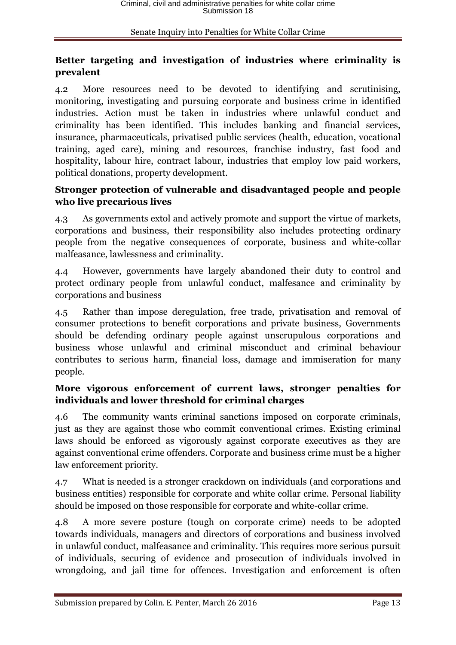## **Better targeting and investigation of industries where criminality is prevalent**

4.2 More resources need to be devoted to identifying and scrutinising, monitoring, investigating and pursuing corporate and business crime in identified industries. Action must be taken in industries where unlawful conduct and criminality has been identified. This includes banking and financial services, insurance, pharmaceuticals, privatised public services (health, education, vocational training, aged care), mining and resources, franchise industry, fast food and hospitality, labour hire, contract labour, industries that employ low paid workers, political donations, property development.

## **Stronger protection of vulnerable and disadvantaged people and people who live precarious lives**

4.3 As governments extol and actively promote and support the virtue of markets, corporations and business, their responsibility also includes protecting ordinary people from the negative consequences of corporate, business and white-collar malfeasance, lawlessness and criminality.

4.4 However, governments have largely abandoned their duty to control and protect ordinary people from unlawful conduct, malfesance and criminality by corporations and business

4.5 Rather than impose deregulation, free trade, privatisation and removal of consumer protections to benefit corporations and private business, Governments should be defending ordinary people against unscrupulous corporations and business whose unlawful and criminal misconduct and criminal behaviour contributes to serious harm, financial loss, damage and immiseration for many people.

## **More vigorous enforcement of current laws, stronger penalties for individuals and lower threshold for criminal charges**

4.6 The community wants criminal sanctions imposed on corporate criminals, just as they are against those who commit conventional crimes. Existing criminal laws should be enforced as vigorously against corporate executives as they are against conventional crime offenders. Corporate and business crime must be a higher law enforcement priority.

4.7 What is needed is a stronger crackdown on individuals (and corporations and business entities) responsible for corporate and white collar crime. Personal liability should be imposed on those responsible for corporate and white-collar crime.

4.8 A more severe posture (tough on corporate crime) needs to be adopted towards individuals, managers and directors of corporations and business involved in unlawful conduct, malfeasance and criminality. This requires more serious pursuit of individuals, securing of evidence and prosecution of individuals involved in wrongdoing, and jail time for offences. Investigation and enforcement is often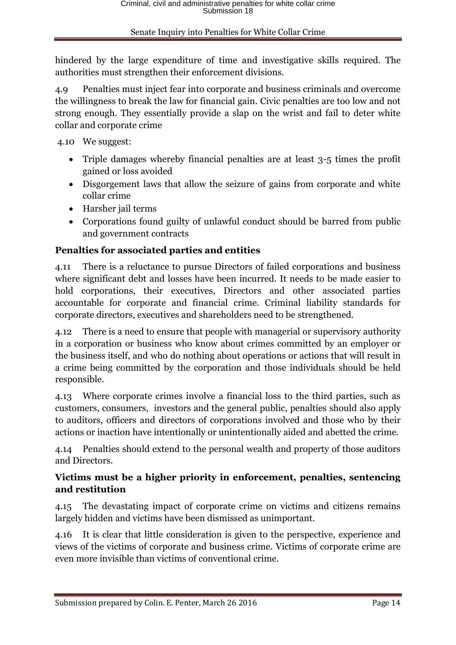hindered by the large expenditure of time and investigative skills required. The authorities must strengthen their enforcement divisions.

4.9 Penalties must inject fear into corporate and business criminals and overcome the willingness to break the law for financial gain. Civic penalties are too low and not strong enough. They essentially provide a slap on the wrist and fail to deter white collar and corporate crime

4.10 We suggest:

- Triple damages whereby financial penalties are at least 3-5 times the profit gained or loss avoided
- Disgorgement laws that allow the seizure of gains from corporate and white collar crime
- Harsher jail terms
- Corporations found guilty of unlawful conduct should be barred from public and government contracts

## **Penalties for associated parties and entities**

4.11 There is a reluctance to pursue Directors of failed corporations and business where significant debt and losses have been incurred. It needs to be made easier to hold corporations, their executives, Directors and other associated parties accountable for corporate and financial crime. Criminal liability standards for corporate directors, executives and shareholders need to be strengthened.

4.12 There is a need to ensure that people with managerial or supervisory authority in a corporation or business who know about crimes committed by an employer or the business itself, and who do nothing about operations or actions that will result in a crime being committed by the corporation and those individuals should be held responsible.

4.13 Where corporate crimes involve a financial loss to the third parties, such as customers, consumers, investors and the general public, penalties should also apply to auditors, officers and directors of corporations involved and those who by their actions or inaction have intentionally or unintentionally aided and abetted the crime.

4.14 Penalties should extend to the personal wealth and property of those auditors and Directors.

## **Victims must be a higher priority in enforcement, penalties, sentencing and restitution**

4.15 The devastating impact of corporate crime on victims and citizens remains largely hidden and victims have been dismissed as unimportant.

4.16 It is clear that little consideration is given to the perspective, experience and views of the victims of corporate and business crime. Victims of corporate crime are even more invisible than victims of conventional crime.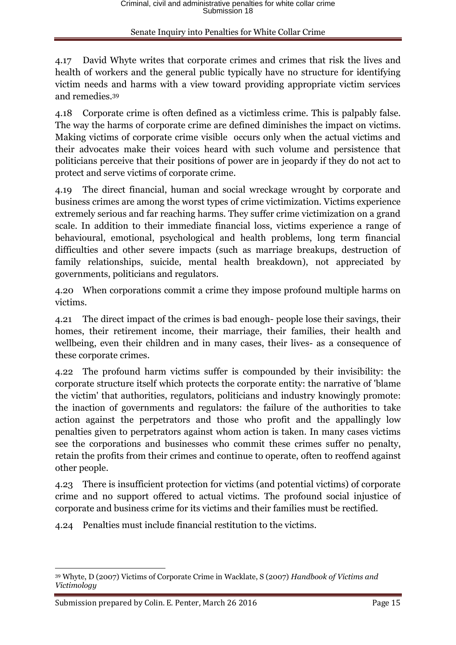4.17 David Whyte writes that corporate crimes and crimes that risk the lives and health of workers and the general public typically have no structure for identifying victim needs and harms with a view toward providing appropriate victim services and remedies.<sup>39</sup>

4.18 Corporate crime is often defined as a victimless crime. This is palpably false. The way the harms of corporate crime are defined diminishes the impact on victims. Making victims of corporate crime visible occurs only when the actual victims and their advocates make their voices heard with such volume and persistence that politicians perceive that their positions of power are in jeopardy if they do not act to protect and serve victims of corporate crime.

4.19 The direct financial, human and social wreckage wrought by corporate and business crimes are among the worst types of crime victimization. Victims experience extremely serious and far reaching harms. They suffer crime victimization on a grand scale. In addition to their immediate financial loss, victims experience a range of behavioural, emotional, psychological and health problems, long term financial difficulties and other severe impacts (such as marriage breakups, destruction of family relationships, suicide, mental health breakdown), not appreciated by governments, politicians and regulators.

4.20 When corporations commit a crime they impose profound multiple harms on victims.

4.21 The direct impact of the crimes is bad enough- people lose their savings, their homes, their retirement income, their marriage, their families, their health and wellbeing, even their children and in many cases, their lives- as a consequence of these corporate crimes.

4.22 The profound harm victims suffer is compounded by their invisibility: the corporate structure itself which protects the corporate entity: the narrative of 'blame the victim' that authorities, regulators, politicians and industry knowingly promote: the inaction of governments and regulators: the failure of the authorities to take action against the perpetrators and those who profit and the appallingly low penalties given to perpetrators against whom action is taken. In many cases victims see the corporations and businesses who commit these crimes suffer no penalty, retain the profits from their crimes and continue to operate, often to reoffend against other people.

4.23 There is insufficient protection for victims (and potential victims) of corporate crime and no support offered to actual victims. The profound social injustice of corporate and business crime for its victims and their families must be rectified.

4.24 Penalties must include financial restitution to the victims.

**<sup>.</sup>** <sup>39</sup> Whyte, D (2007) Victims of Corporate Crime in Wacklate, S (2007) *Handbook of Victims and Victimology*

Submission prepared by Colin. E. Penter, March 26 2016 Page 15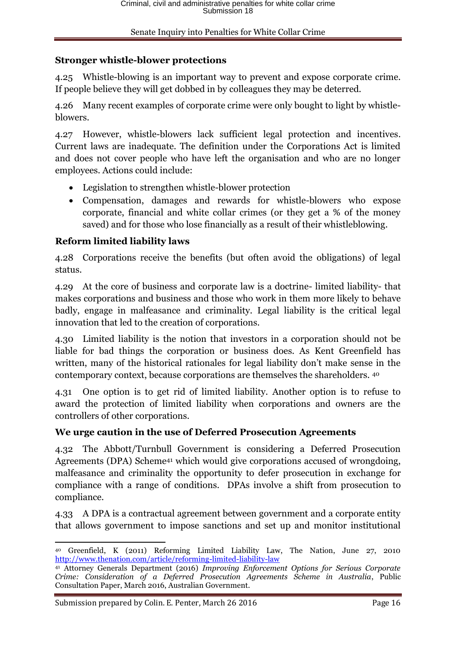## **Stronger whistle-blower protections**

4.25 Whistle-blowing is an important way to prevent and expose corporate crime. If people believe they will get dobbed in by colleagues they may be deterred.

4.26 Many recent examples of corporate crime were only bought to light by whistleblowers.

4.27 However, whistle-blowers lack sufficient legal protection and incentives. Current laws are inadequate. The definition under the Corporations Act is limited and does not cover people who have left the organisation and who are no longer employees. Actions could include:

- Legislation to strengthen whistle-blower protection
- Compensation, damages and rewards for whistle-blowers who expose corporate, financial and white collar crimes (or they get a % of the money saved) and for those who lose financially as a result of their whistleblowing.

## **Reform limited liability laws**

4.28 Corporations receive the benefits (but often avoid the obligations) of legal status.

4.29 At the core of business and corporate law is a doctrine- limited liability- that makes corporations and business and those who work in them more likely to behave badly, engage in malfeasance and criminality. Legal liability is the critical legal innovation that led to the creation of corporations.

4.30 Limited liability is the notion that investors in a corporation should not be liable for bad things the corporation or business does. As Kent Greenfield has written, many of the historical rationales for legal liability don't make sense in the contemporary context, because corporations are themselves the shareholders. <sup>40</sup>

4.31 One option is to get rid of limited liability. Another option is to refuse to award the protection of limited liability when corporations and owners are the controllers of other corporations.

## **We urge caution in the use of Deferred Prosecution Agreements**

4.32 The Abbott/Turnbull Government is considering a Deferred Prosecution Agreements (DPA) Scheme<sup>41</sup> which would give corporations accused of wrongdoing, malfeasance and criminality the opportunity to defer prosecution in exchange for compliance with a range of conditions. DPAs involve a shift from prosecution to compliance.

4.33 A DPA is a contractual agreement between government and a corporate entity that allows government to impose sanctions and set up and monitor institutional

**<sup>.</sup>** <sup>40</sup> Greenfield, K (2011) Reforming Limited Liability Law, The Nation, June 27, 2010 <http://www.thenation.com/article/reforming-limited-liability-law>

<sup>41</sup> Attorney Generals Department (2016) *Improving Enforcement Options for Serious Corporate Crime: Consideration of a Deferred Prosecution Agreements Scheme in Australia*, Public Consultation Paper, March 2016, Australian Government.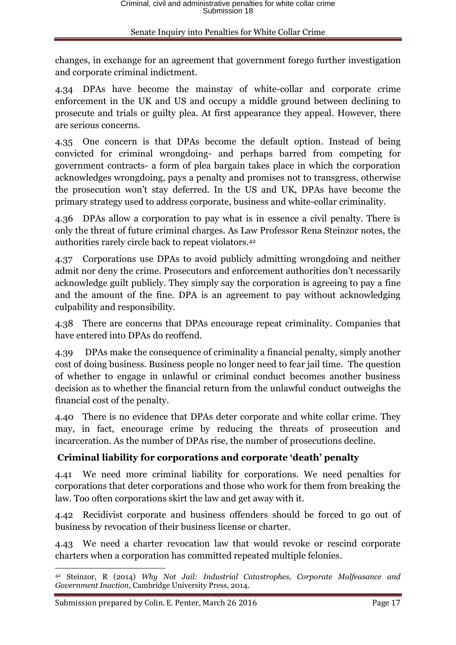changes, in exchange for an agreement that government forego further investigation and corporate criminal indictment.

4.34 DPAs have become the mainstay of white-collar and corporate crime enforcement in the UK and US and occupy a middle ground between declining to prosecute and trials or guilty plea. At first appearance they appeal. However, there are serious concerns.

4.35 One concern is that DPAs become the default option. Instead of being convicted for criminal wrongdoing- and perhaps barred from competing for government contracts- a form of plea bargain takes place in which the corporation acknowledges wrongdoing, pays a penalty and promises not to transgress, otherwise the prosecution won't stay deferred. In the US and UK, DPAs have become the primary strategy used to address corporate, business and white-collar criminality.

4.36 DPAs allow a corporation to pay what is in essence a civil penalty. There is only the threat of future criminal charges. As Law Professor Rena Steinzor notes, the authorities rarely circle back to repeat violators.<sup>42</sup>

4.37 Corporations use DPAs to avoid publicly admitting wrongdoing and neither admit nor deny the crime. Prosecutors and enforcement authorities don't necessarily acknowledge guilt publicly. They simply say the corporation is agreeing to pay a fine and the amount of the fine. DPA is an agreement to pay without acknowledging culpability and responsibility.

4.38 There are concerns that DPAs encourage repeat criminality. Companies that have entered into DPAs do reoffend.

4.39 DPAs make the consequence of criminality a financial penalty, simply another cost of doing business. Business people no longer need to fear jail time. The question of whether to engage in unlawful or criminal conduct becomes another business decision as to whether the financial return from the unlawful conduct outweighs the financial cost of the penalty.

4.40 There is no evidence that DPAs deter corporate and white collar crime. They may, in fact, encourage crime by reducing the threats of prosecution and incarceration. As the number of DPAs rise, the number of prosecutions decline.

## **Criminal liability for corporations and corporate 'death' penalty**

4.41 We need more criminal liability for corporations. We need penalties for corporations that deter corporations and those who work for them from breaking the law. Too often corporations skirt the law and get away with it.

4.42 Recidivist corporate and business offenders should be forced to go out of business by revocation of their business license or charter.

4.43 We need a charter revocation law that would revoke or rescind corporate charters when a corporation has committed repeated multiple felonies.

**<sup>.</sup>** <sup>42</sup> Steinzor, R (2014) *Why Not Jail: Industrial Catastrophes, Corporate Malfeasance and Government Inaction*, Cambridge University Press, 2014.